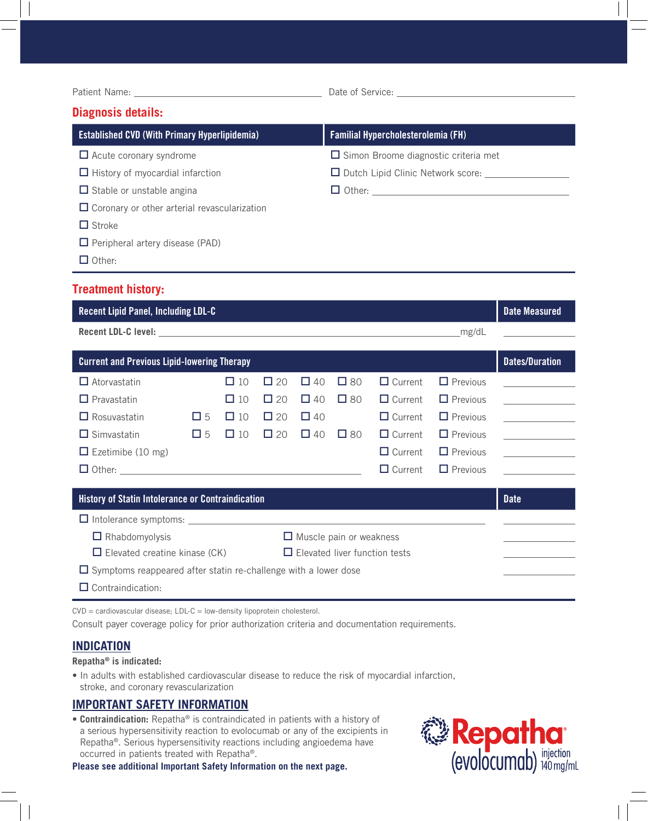Date of Service:

# **Diagnosis details:**

| <b>Established CVD (With Primary Hyperlipidemia)</b> | <b>Familial Hypercholesterolemia (FH)</b>   |
|------------------------------------------------------|---------------------------------------------|
| $\Box$ Acute coronary syndrome                       | $\Box$ Simon Broome diagnostic criteria met |
| $\Box$ History of myocardial infarction              | $\Box$ Dutch Lipid Clinic Network score:    |
| $\Box$ Stable or unstable angina                     |                                             |
| $\Box$ Coronary or other arterial revascularization  |                                             |
| $\Box$ Stroke                                        |                                             |
| $\Box$ Peripheral artery disease (PAD)               |                                             |
| $\Box$ Other:                                        |                                             |

# **Treatment history:**

| <b>Recent Lipid Panel, Including LDL-C</b>                                   |             |           |              |           |           |                |                 | <b>Date Measured</b>                                 |
|------------------------------------------------------------------------------|-------------|-----------|--------------|-----------|-----------|----------------|-----------------|------------------------------------------------------|
| _mg/dL                                                                       |             |           |              |           |           |                |                 | and the state of the state of the                    |
| <b>Current and Previous Lipid-lowering Therapy</b>                           |             |           |              |           |           |                |                 | <b>Dates/Duration</b>                                |
| $\Box$ Atorvastatin                                                          |             | $\Box$ 10 | $\Box$ 20    | $\Box$ 40 | $\Box$ 80 | $\Box$ Current | $\Box$ Previous |                                                      |
| $\Box$ Pravastatin                                                           |             | $\Box$ 10 | $\square$ 20 | $\Box$ 40 | $\Box$ 80 | $\Box$ Current | $\Box$ Previous |                                                      |
| $\Box$ Rosuvastatin                                                          | $\square$ 5 | $\Box$ 10 | $\square$ 20 | $\Box$ 40 |           | $\Box$ Current | $\Box$ Previous | <u> 1989 - Andrea State Barnett, ameri</u> kansk kon |
| $\Box$ Simvastatin                                                           | $\square$ 5 | $\Box$ 10 | $\Box$ 20    | $\Box$ 40 | $\Box$ 80 | $\Box$ Current | $\Box$ Previous |                                                      |
| $\Box$ Ezetimibe (10 mg)                                                     |             |           |              |           |           | $\Box$ Current | $\Box$ Previous | the control of the control of the                    |
|                                                                              |             |           |              |           |           | $\Box$ Current | $\Box$ Previous |                                                      |
| <b>History of Statin Intolerance or Contraindication</b>                     |             |           |              |           |           |                |                 | <b>Date</b>                                          |
|                                                                              |             |           |              |           |           |                |                 |                                                      |
| $\Box$ Rhabdomyolysis<br>$\Box$ Muscle pain or weakness                      |             |           |              |           |           |                |                 |                                                      |
| $\Box$ Elevated creatine kinase (CK)<br>$\Box$ Elevated liver function tests |             |           |              |           |           |                |                 |                                                      |
| $\Box$ Symptoms reappeared after statin re-challenge with a lower dose       |             |           |              |           |           |                |                 |                                                      |
| $\Box$ Contraindication:                                                     |             |           |              |           |           |                |                 |                                                      |

CVD = cardiovascular disease; LDL-C = low-density lipoprotein cholesterol.

Consult payer coverage policy for prior authorization criteria and documentation requirements.

# **INDICATION**

#### **Repatha® is indicated:**

• In adults with established cardiovascular disease to reduce the risk of myocardial infarction, stroke, and coronary revascularization

# **IMPORTANT SAFETY INFORMATION**

• **Contraindication:** Repatha® is contraindicated in patients with a history of a serious hypersensitivity reaction to evolocumab or any of the excipients in Repatha®. Serious hypersensitivity reactions including angioedema have occurred in patients treated with Repatha®.

**Please see additional Important Safety Information on the next page.**